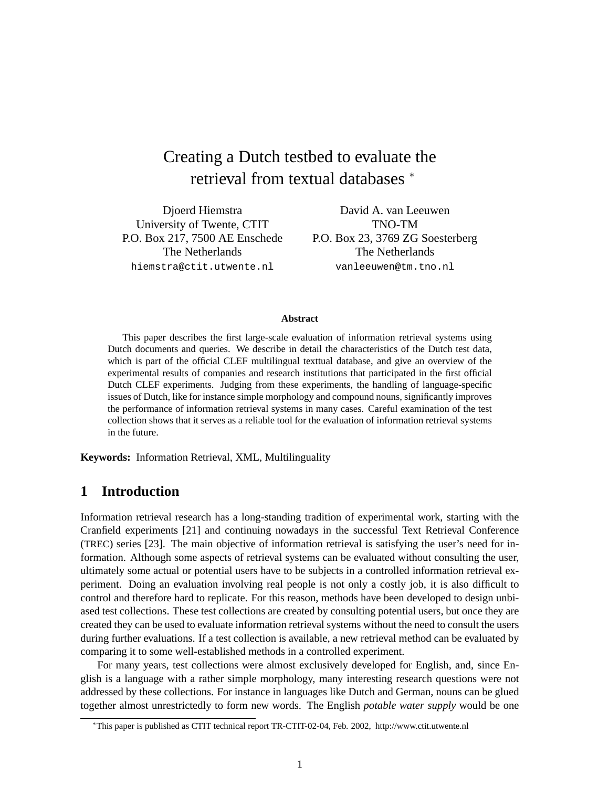# Creating a Dutch testbed to evaluate the retrieval from textual databases <sup>∗</sup>

Djoerd Hiemstra University of Twente, CTIT P.O. Box 217, 7500 AE Enschede The Netherlands hiemstra@ctit.utwente.nl

David A. van Leeuwen TNO-TM P.O. Box 23, 3769 ZG Soesterberg The Netherlands vanleeuwen@tm.tno.nl

#### **Abstract**

This paper describes the first large-scale evaluation of information retrieval systems using Dutch documents and queries. We describe in detail the characteristics of the Dutch test data, which is part of the official CLEF multilingual texttual database, and give an overview of the experimental results of companies and research institutions that participated in the first official Dutch CLEF experiments. Judging from these experiments, the handling of language-specific issues of Dutch, like for instance simple morphology and compound nouns, significantly improves the performance of information retrieval systems in many cases. Careful examination of the test collection shows that it serves as a reliable tool for the evaluation of information retrieval systems in the future.

**Keywords:** Information Retrieval, XML, Multilinguality

# **1 Introduction**

Information retrieval research has a long-standing tradition of experimental work, starting with the Cranfield experiments [21] and continuing nowadays in the successful Text Retrieval Conference (TREC) series [23]. The main objective of information retrieval is satisfying the user's need for information. Although some aspects of retrieval systems can be evaluated without consulting the user, ultimately some actual or potential users have to be subjects in a controlled information retrieval experiment. Doing an evaluation involving real people is not only a costly job, it is also difficult to control and therefore hard to replicate. For this reason, methods have been developed to design unbiased test collections. These test collections are created by consulting potential users, but once they are created they can be used to evaluate information retrieval systems without the need to consult the users during further evaluations. If a test collection is available, a new retrieval method can be evaluated by comparing it to some well-established methods in a controlled experiment.

For many years, test collections were almost exclusively developed for English, and, since English is a language with a rather simple morphology, many interesting research questions were not addressed by these collections. For instance in languages like Dutch and German, nouns can be glued together almost unrestrictedly to form new words. The English *potable water supply* would be one

<sup>∗</sup>This paper is published as CTIT technical report TR-CTIT-02-04, Feb. 2002, http://www.ctit.utwente.nl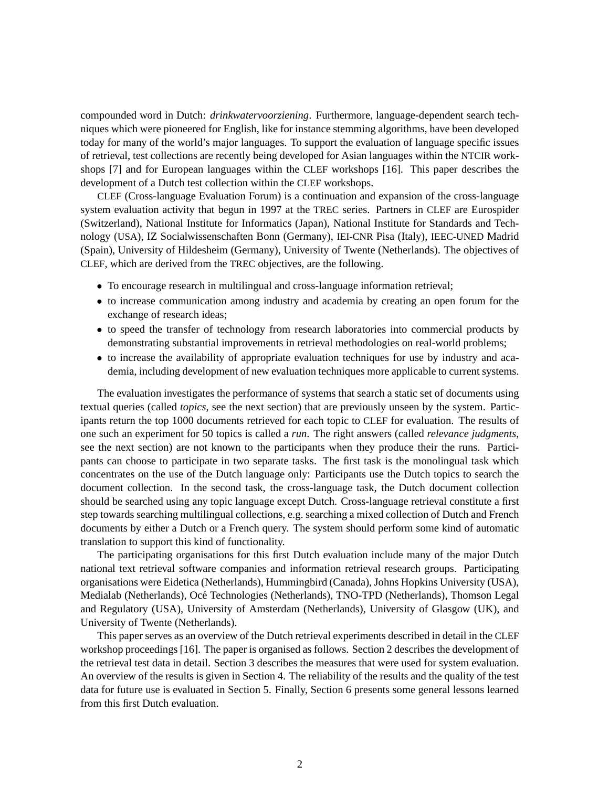compounded word in Dutch: *drinkwatervoorziening*. Furthermore, language-dependent search techniques which were pioneered for English, like for instance stemming algorithms, have been developed today for many of the world's major languages. To support the evaluation of language specific issues of retrieval, test collections are recently being developed for Asian languages within the NTCIR workshops [7] and for European languages within the CLEF workshops [16]. This paper describes the development of a Dutch test collection within the CLEF workshops.

CLEF (Cross-language Evaluation Forum) is a continuation and expansion of the cross-language system evaluation activity that begun in 1997 at the TREC series. Partners in CLEF are Eurospider (Switzerland), National Institute for Informatics (Japan), National Institute for Standards and Technology (USA), IZ Socialwissenschaften Bonn (Germany), IEI-CNR Pisa (Italy), IEEC-UNED Madrid (Spain), University of Hildesheim (Germany), University of Twente (Netherlands). The objectives of CLEF, which are derived from the TREC objectives, are the following.

- To encourage research in multilingual and cross-language information retrieval;
- to increase communication among industry and academia by creating an open forum for the exchange of research ideas;
- to speed the transfer of technology from research laboratories into commercial products by demonstrating substantial improvements in retrieval methodologies on real-world problems;
- to increase the availability of appropriate evaluation techniques for use by industry and academia, including development of new evaluation techniques more applicable to current systems.

The evaluation investigates the performance of systems that search a static set of documents using textual queries (called *topics*, see the next section) that are previously unseen by the system. Participants return the top 1000 documents retrieved for each topic to CLEF for evaluation. The results of one such an experiment for 50 topics is called a *run*. The right answers (called *relevance judgments*, see the next section) are not known to the participants when they produce their the runs. Participants can choose to participate in two separate tasks. The first task is the monolingual task which concentrates on the use of the Dutch language only: Participants use the Dutch topics to search the document collection. In the second task, the cross-language task, the Dutch document collection should be searched using any topic language except Dutch. Cross-language retrieval constitute a first step towards searching multilingual collections, e.g. searching a mixed collection of Dutch and French documents by either a Dutch or a French query. The system should perform some kind of automatic translation to support this kind of functionality.

The participating organisations for this first Dutch evaluation include many of the major Dutch national text retrieval software companies and information retrieval research groups. Participating organisations were Eidetica (Netherlands), Hummingbird (Canada), Johns Hopkins University (USA), Medialab (Netherlands), Oce Technologies (Netherlands), TNO-TPD (Netherlands), Thomson Legal ´ and Regulatory (USA), University of Amsterdam (Netherlands), University of Glasgow (UK), and University of Twente (Netherlands).

This paper serves as an overview of the Dutch retrieval experiments described in detail in the CLEF workshop proceedings [16]. The paper is organised as follows. Section 2 describes the development of the retrieval test data in detail. Section 3 describes the measures that were used for system evaluation. An overview of the results is given in Section 4. The reliability of the results and the quality of the test data for future use is evaluated in Section 5. Finally, Section 6 presents some general lessons learned from this first Dutch evaluation.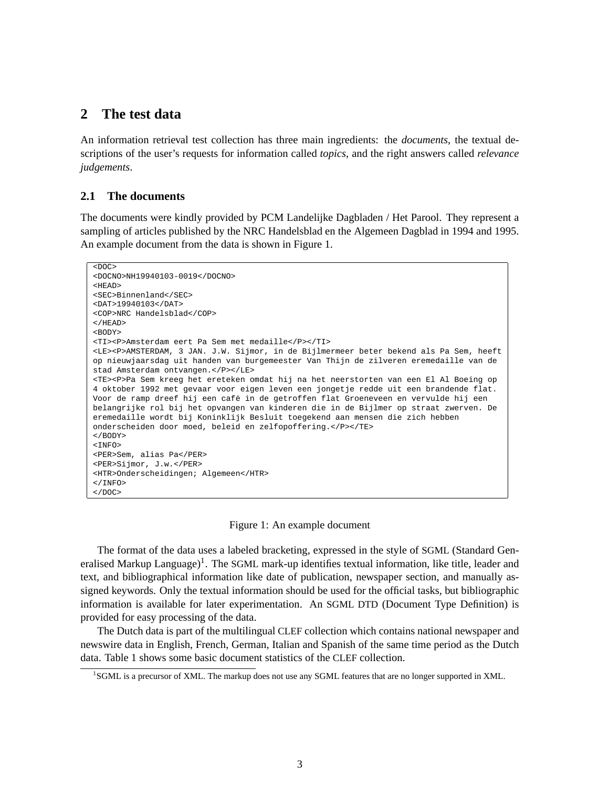# **2 The test data**

An information retrieval test collection has three main ingredients: the *documents*, the textual descriptions of the user's requests for information called *topics*, and the right answers called *relevance judgements*.

### **2.1 The documents**

The documents were kindly provided by PCM Landelijke Dagbladen / Het Parool. They represent a sampling of articles published by the NRC Handelsblad en the Algemeen Dagblad in 1994 and 1995. An example document from the data is shown in Figure 1.

```
200<sub>2</sub><DOCNO>NH19940103-0019</DOCNO>
<HEAD>
<SEC>Binnenland</SEC>
<DAT>19940103</DAT>
<COP>NRC Handelsblad</COP>
</HEAD>
<BODY>
<TI><P>Amsterdam eert Pa Sem met medaille</P></TI>
<LE><P>AMSTERDAM, 3 JAN. J.W. Sijmor, in de Bijlmermeer beter bekend als Pa Sem, heeft
op nieuwjaarsdag uit handen van burgemeester Van Thijn de zilveren eremedaille van de
stad Amsterdam ontvangen.</P></LE>
<TE><P>Pa Sem kreeg het ereteken omdat hij na het neerstorten van een El Al Boeing op
4 oktober 1992 met gevaar voor eigen leven een jongetje redde uit een brandende flat.
Voor de ramp dreef hij een café in de getroffen flat Groeneveen en vervulde hij een
belangrijke rol bij het opvangen van kinderen die in de Bijlmer op straat zwerven. De
eremedaille wordt bij Koninklijk Besluit toegekend aan mensen die zich hebben
onderscheiden door moed, beleid en zelfopoffering.</P></TE>
</BODY>
<INFO>
<PER>Sem, alias Pa</PER>
<PER>Sijmor, J.w.</PER>
<HTR>Onderscheidingen; Algemeen</HTR>
</INFO>
</DOC>
```
Figure 1: An example document

The format of the data uses a labeled bracketing, expressed in the style of SGML (Standard Generalised Markup Language)<sup>1</sup>. The SGML mark-up identifies textual information, like title, leader and text, and bibliographical information like date of publication, newspaper section, and manually assigned keywords. Only the textual information should be used for the official tasks, but bibliographic information is available for later experimentation. An SGML DTD (Document Type Definition) is provided for easy processing of the data.

The Dutch data is part of the multilingual CLEF collection which contains national newspaper and newswire data in English, French, German, Italian and Spanish of the same time period as the Dutch data. Table 1 shows some basic document statistics of the CLEF collection.

<sup>1</sup> SGML is a precursor of XML. The markup does not use any SGML features that are no longer supported in XML.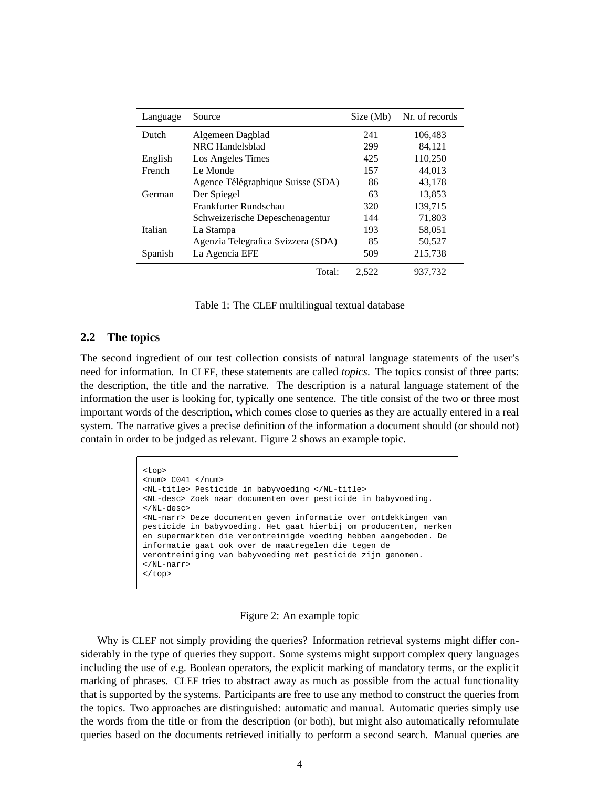| Language | Source                             | Size (Mb) | Nr. of records |
|----------|------------------------------------|-----------|----------------|
| Dutch    | Algemeen Dagblad                   | 241       | 106,483        |
|          | NRC Handelsblad                    | 299       | 84.121         |
| English  | Los Angeles Times                  | 425       | 110,250        |
| French   | Le Monde                           | 157       | 44,013         |
|          | Agence Télégraphique Suisse (SDA)  | 86        | 43.178         |
| German   | Der Spiegel                        | 63        | 13,853         |
|          | Frankfurter Rundschau              | 320       | 139,715        |
|          | Schweizerische Depeschenagentur    | 144       | 71.803         |
| Italian  | La Stampa                          | 193       | 58,051         |
|          | Agenzia Telegrafica Svizzera (SDA) | 85        | 50,527         |
| Spanish  | La Agencia EFE                     | 509       | 215,738        |
|          | Total:                             | 2.522     | 937.732        |

|  |  |  | Table 1: The CLEF multilingual textual database |  |  |
|--|--|--|-------------------------------------------------|--|--|
|--|--|--|-------------------------------------------------|--|--|

#### **2.2 The topics**

The second ingredient of our test collection consists of natural language statements of the user's need for information. In CLEF, these statements are called *topics*. The topics consist of three parts: the description, the title and the narrative. The description is a natural language statement of the information the user is looking for, typically one sentence. The title consist of the two or three most important words of the description, which comes close to queries as they are actually entered in a real system. The narrative gives a precise definition of the information a document should (or should not) contain in order to be judged as relevant. Figure 2 shows an example topic.

```
<top>
<num> C041 </num>
<NL-title> Pesticide in babyvoeding </NL-title>
<NL-desc> Zoek naar documenten over pesticide in babyvoeding.
</NL-desc>
<NL-narr> Deze documenten geven informatie over ontdekkingen van
pesticide in babyvoeding. Het gaat hierbij om producenten, merken
en supermarkten die verontreinigde voeding hebben aangeboden. De
informatie gaat ook over de maatregelen die tegen de
verontreiniging van babyvoeding met pesticide zijn genomen.
</NL-narr>
</top>
```
#### Figure 2: An example topic

Why is CLEF not simply providing the queries? Information retrieval systems might differ considerably in the type of queries they support. Some systems might support complex query languages including the use of e.g. Boolean operators, the explicit marking of mandatory terms, or the explicit marking of phrases. CLEF tries to abstract away as much as possible from the actual functionality that is supported by the systems. Participants are free to use any method to construct the queries from the topics. Two approaches are distinguished: automatic and manual. Automatic queries simply use the words from the title or from the description (or both), but might also automatically reformulate queries based on the documents retrieved initially to perform a second search. Manual queries are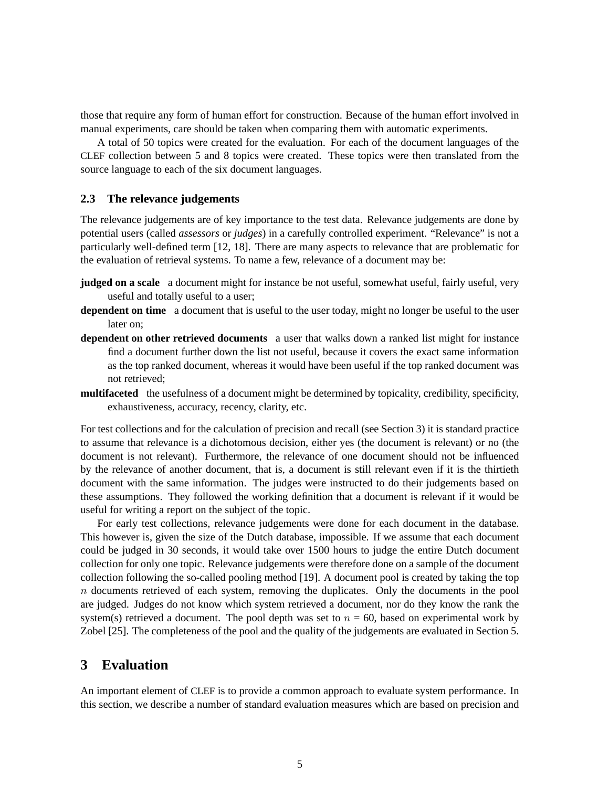those that require any form of human effort for construction. Because of the human effort involved in manual experiments, care should be taken when comparing them with automatic experiments.

A total of 50 topics were created for the evaluation. For each of the document languages of the CLEF collection between 5 and 8 topics were created. These topics were then translated from the source language to each of the six document languages.

#### **2.3 The relevance judgements**

The relevance judgements are of key importance to the test data. Relevance judgements are done by potential users (called *assessors* or *judges*) in a carefully controlled experiment. "Relevance" is not a particularly well-defined term [12, 18]. There are many aspects to relevance that are problematic for the evaluation of retrieval systems. To name a few, relevance of a document may be:

- **judged on a scale** a document might for instance be not useful, somewhat useful, fairly useful, very useful and totally useful to a user;
- **dependent on time** a document that is useful to the user today, might no longer be useful to the user later on;
- **dependent on other retrieved documents** a user that walks down a ranked list might for instance find a document further down the list not useful, because it covers the exact same information as the top ranked document, whereas it would have been useful if the top ranked document was not retrieved;
- **multifaceted** the usefulness of a document might be determined by topicality, credibility, specificity, exhaustiveness, accuracy, recency, clarity, etc.

For test collections and for the calculation of precision and recall (see Section 3) it is standard practice to assume that relevance is a dichotomous decision, either yes (the document is relevant) or no (the document is not relevant). Furthermore, the relevance of one document should not be influenced by the relevance of another document, that is, a document is still relevant even if it is the thirtieth document with the same information. The judges were instructed to do their judgements based on these assumptions. They followed the working definition that a document is relevant if it would be useful for writing a report on the subject of the topic.

For early test collections, relevance judgements were done for each document in the database. This however is, given the size of the Dutch database, impossible. If we assume that each document could be judged in 30 seconds, it would take over 1500 hours to judge the entire Dutch document collection for only one topic. Relevance judgements were therefore done on a sample of the document collection following the so-called pooling method [19]. A document pool is created by taking the top  $n$  documents retrieved of each system, removing the duplicates. Only the documents in the pool are judged. Judges do not know which system retrieved a document, nor do they know the rank the system(s) retrieved a document. The pool depth was set to  $n = 60$ , based on experimental work by Zobel [25]. The completeness of the pool and the quality of the judgements are evaluated in Section 5.

# **3 Evaluation**

An important element of CLEF is to provide a common approach to evaluate system performance. In this section, we describe a number of standard evaluation measures which are based on precision and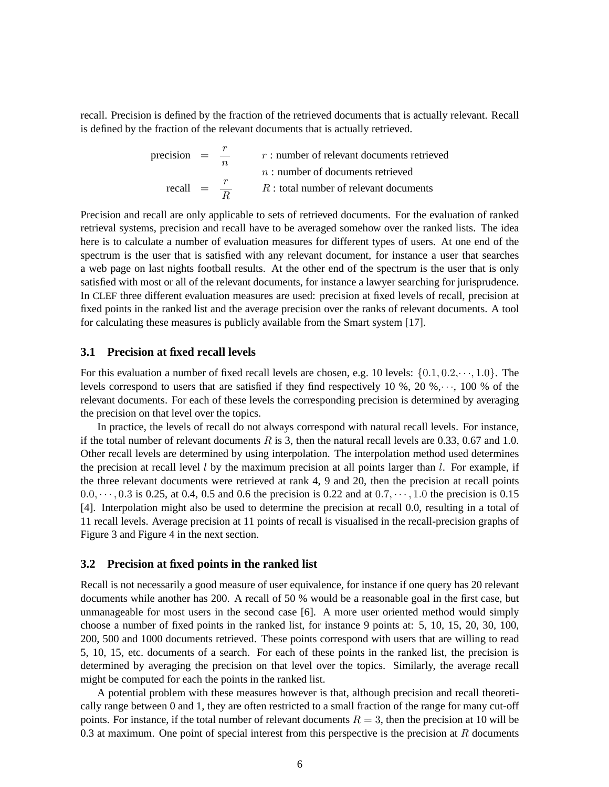recall. Precision is defined by the fraction of the retrieved documents that is actually relevant. Recall is defined by the fraction of the relevant documents that is actually retrieved.

precision = 
$$
\frac{r}{n}
$$
 *r* : number of relevant documents retrieved  
\n*n* : number of documents retrieved  
\nrecall =  $\frac{r}{R}$  *R* : total number of relevant documents

Precision and recall are only applicable to sets of retrieved documents. For the evaluation of ranked retrieval systems, precision and recall have to be averaged somehow over the ranked lists. The idea here is to calculate a number of evaluation measures for different types of users. At one end of the spectrum is the user that is satisfied with any relevant document, for instance a user that searches a web page on last nights football results. At the other end of the spectrum is the user that is only satisfied with most or all of the relevant documents, for instance a lawyer searching for jurisprudence. In CLEF three different evaluation measures are used: precision at fixed levels of recall, precision at fixed points in the ranked list and the average precision over the ranks of relevant documents. A tool for calculating these measures is publicly available from the Smart system [17].

### **3.1 Precision at fixed recall levels**

For this evaluation a number of fixed recall levels are chosen, e.g. 10 levels:  $\{0.1, 0.2, \dots, 1.0\}$ . The levels correspond to users that are satisfied if they find respectively 10 %, 20 %, $\cdots$ , 100 % of the relevant documents. For each of these levels the corresponding precision is determined by averaging the precision on that level over the topics.

In practice, the levels of recall do not always correspond with natural recall levels. For instance, if the total number of relevant documents R is 3, then the natural recall levels are 0.33, 0.67 and 1.0. Other recall levels are determined by using interpolation. The interpolation method used determines the precision at recall level  $l$  by the maximum precision at all points larger than  $l$ . For example, if the three relevant documents were retrieved at rank 4, 9 and 20, then the precision at recall points  $0.0, \dots, 0.3$  is 0.25, at 0.4, 0.5 and 0.6 the precision is 0.22 and at  $0.7, \dots, 1.0$  the precision is 0.15 [4]. Interpolation might also be used to determine the precision at recall 0.0, resulting in a total of 11 recall levels. Average precision at 11 points of recall is visualised in the recall-precision graphs of Figure 3 and Figure 4 in the next section.

#### **3.2 Precision at fixed points in the ranked list**

Recall is not necessarily a good measure of user equivalence, for instance if one query has 20 relevant documents while another has 200. A recall of 50 % would be a reasonable goal in the first case, but unmanageable for most users in the second case [6]. A more user oriented method would simply choose a number of fixed points in the ranked list, for instance 9 points at: 5, 10, 15, 20, 30, 100, 200, 500 and 1000 documents retrieved. These points correspond with users that are willing to read 5, 10, 15, etc. documents of a search. For each of these points in the ranked list, the precision is determined by averaging the precision on that level over the topics. Similarly, the average recall might be computed for each the points in the ranked list.

A potential problem with these measures however is that, although precision and recall theoretically range between 0 and 1, they are often restricted to a small fraction of the range for many cut-off points. For instance, if the total number of relevant documents  $R = 3$ , then the precision at 10 will be 0.3 at maximum. One point of special interest from this perspective is the precision at  $R$  documents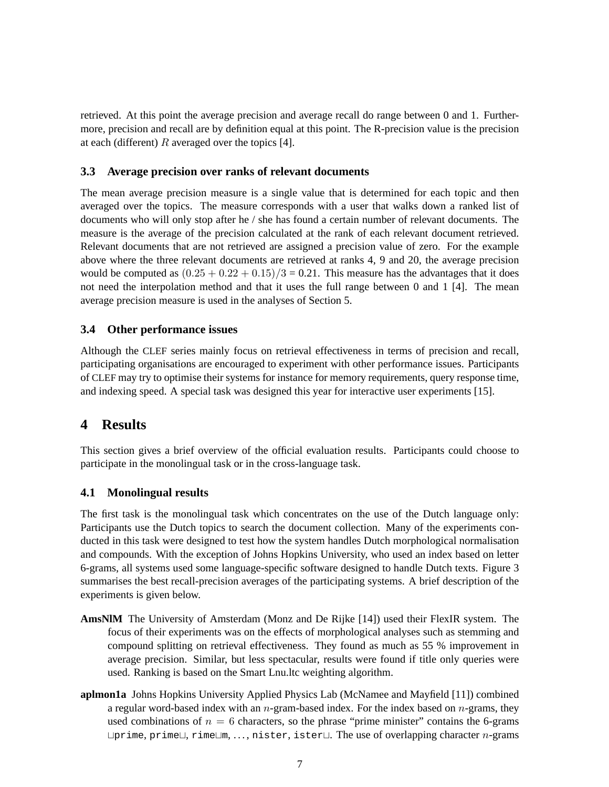retrieved. At this point the average precision and average recall do range between 0 and 1. Furthermore, precision and recall are by definition equal at this point. The R-precision value is the precision at each (different)  $R$  averaged over the topics [4].

#### **3.3 Average precision over ranks of relevant documents**

The mean average precision measure is a single value that is determined for each topic and then averaged over the topics. The measure corresponds with a user that walks down a ranked list of documents who will only stop after he / she has found a certain number of relevant documents. The measure is the average of the precision calculated at the rank of each relevant document retrieved. Relevant documents that are not retrieved are assigned a precision value of zero. For the example above where the three relevant documents are retrieved at ranks 4, 9 and 20, the average precision would be computed as  $(0.25 + 0.22 + 0.15)/3 = 0.21$ . This measure has the advantages that it does not need the interpolation method and that it uses the full range between 0 and 1 [4]. The mean average precision measure is used in the analyses of Section 5.

#### **3.4 Other performance issues**

Although the CLEF series mainly focus on retrieval effectiveness in terms of precision and recall, participating organisations are encouraged to experiment with other performance issues. Participants of CLEF may try to optimise their systems for instance for memory requirements, query response time, and indexing speed. A special task was designed this year for interactive user experiments [15].

# **4 Results**

This section gives a brief overview of the official evaluation results. Participants could choose to participate in the monolingual task or in the cross-language task.

#### **4.1 Monolingual results**

The first task is the monolingual task which concentrates on the use of the Dutch language only: Participants use the Dutch topics to search the document collection. Many of the experiments conducted in this task were designed to test how the system handles Dutch morphological normalisation and compounds. With the exception of Johns Hopkins University, who used an index based on letter 6-grams, all systems used some language-specific software designed to handle Dutch texts. Figure 3 summarises the best recall-precision averages of the participating systems. A brief description of the experiments is given below.

- **AmsNlM** The University of Amsterdam (Monz and De Rijke [14]) used their FlexIR system. The focus of their experiments was on the effects of morphological analyses such as stemming and compound splitting on retrieval effectiveness. They found as much as 55 % improvement in average precision. Similar, but less spectacular, results were found if title only queries were used. Ranking is based on the Smart Lnu.ltc weighting algorithm.
- **aplmon1a** Johns Hopkins University Applied Physics Lab (McNamee and Mayfield [11]) combined a regular word-based index with an  $n$ -gram-based index. For the index based on  $n$ -grams, they used combinations of  $n = 6$  characters, so the phrase "prime minister" contains the 6-grams  $Lprime$ ,  $primeL$ ,  $rimeL$ m, ..., nister, ister $L$ . The use of overlapping character n-grams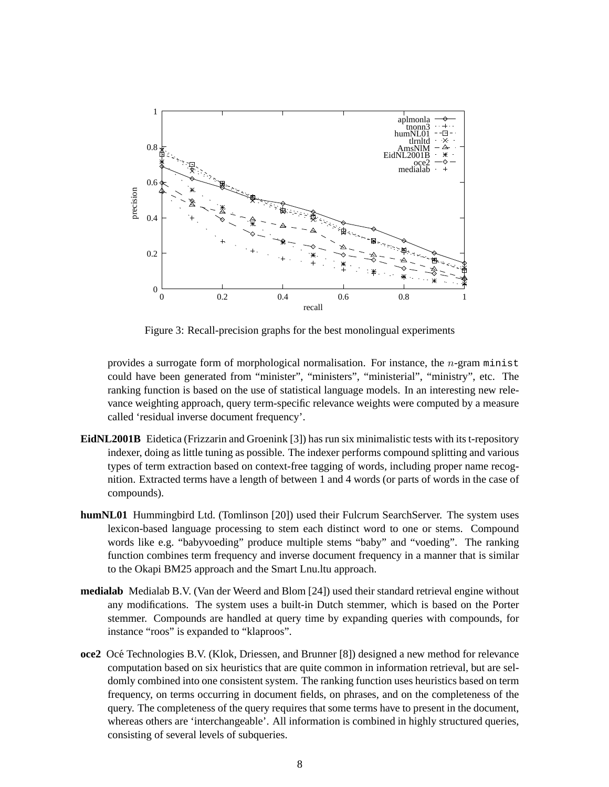

Figure 3: Recall-precision graphs for the best monolingual experiments

provides a surrogate form of morphological normalisation. For instance, the  $n$ -gram minist could have been generated from "minister", "ministers", "ministerial", "ministry", etc. The ranking function is based on the use of statistical language models. In an interesting new relevance weighting approach, query term-specific relevance weights were computed by a measure called 'residual inverse document frequency'.

- **EidNL2001B** Eidetica (Frizzarin and Groenink [3]) has run six minimalistic tests with its t-repository indexer, doing as little tuning as possible. The indexer performs compound splitting and various types of term extraction based on context-free tagging of words, including proper name recognition. Extracted terms have a length of between 1 and 4 words (or parts of words in the case of compounds).
- **humNL01** Hummingbird Ltd. (Tomlinson [20]) used their Fulcrum SearchServer. The system uses lexicon-based language processing to stem each distinct word to one or stems. Compound words like e.g. "babyvoeding" produce multiple stems "baby" and "voeding". The ranking function combines term frequency and inverse document frequency in a manner that is similar to the Okapi BM25 approach and the Smart Lnu.ltu approach.
- **medialab** Medialab B.V. (Van der Weerd and Blom [24]) used their standard retrieval engine without any modifications. The system uses a built-in Dutch stemmer, which is based on the Porter stemmer. Compounds are handled at query time by expanding queries with compounds, for instance "roos" is expanded to "klaproos".
- **oce2** Océ Technologies B.V. (Klok, Driessen, and Brunner [8]) designed a new method for relevance computation based on six heuristics that are quite common in information retrieval, but are seldomly combined into one consistent system. The ranking function uses heuristics based on term frequency, on terms occurring in document fields, on phrases, and on the completeness of the query. The completeness of the query requires that some terms have to present in the document, whereas others are 'interchangeable'. All information is combined in highly structured queries, consisting of several levels of subqueries.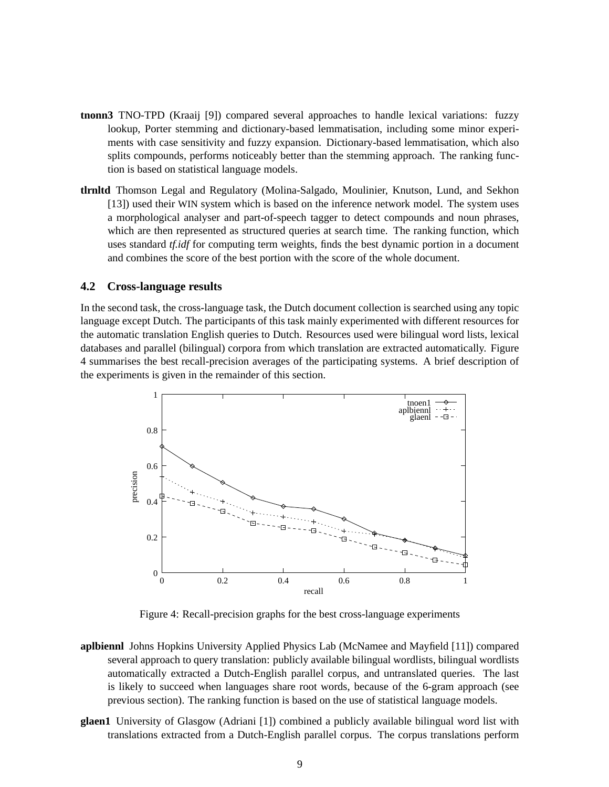- **tnonn3** TNO-TPD (Kraaij [9]) compared several approaches to handle lexical variations: fuzzy lookup, Porter stemming and dictionary-based lemmatisation, including some minor experiments with case sensitivity and fuzzy expansion. Dictionary-based lemmatisation, which also splits compounds, performs noticeably better than the stemming approach. The ranking function is based on statistical language models.
- **tlrnltd** Thomson Legal and Regulatory (Molina-Salgado, Moulinier, Knutson, Lund, and Sekhon [13]) used their WIN system which is based on the inference network model. The system uses a morphological analyser and part-of-speech tagger to detect compounds and noun phrases, which are then represented as structured queries at search time. The ranking function, which uses standard *tf.idf* for computing term weights, finds the best dynamic portion in a document and combines the score of the best portion with the score of the whole document.

### **4.2 Cross-language results**

In the second task, the cross-language task, the Dutch document collection is searched using any topic language except Dutch. The participants of this task mainly experimented with different resources for the automatic translation English queries to Dutch. Resources used were bilingual word lists, lexical databases and parallel (bilingual) corpora from which translation are extracted automatically. Figure 4 summarises the best recall-precision averages of the participating systems. A brief description of the experiments is given in the remainder of this section.



Figure 4: Recall-precision graphs for the best cross-language experiments

- **aplbiennl** Johns Hopkins University Applied Physics Lab (McNamee and Mayfield [11]) compared several approach to query translation: publicly available bilingual wordlists, bilingual wordlists automatically extracted a Dutch-English parallel corpus, and untranslated queries. The last is likely to succeed when languages share root words, because of the 6-gram approach (see previous section). The ranking function is based on the use of statistical language models.
- **glaen1** University of Glasgow (Adriani [1]) combined a publicly available bilingual word list with translations extracted from a Dutch-English parallel corpus. The corpus translations perform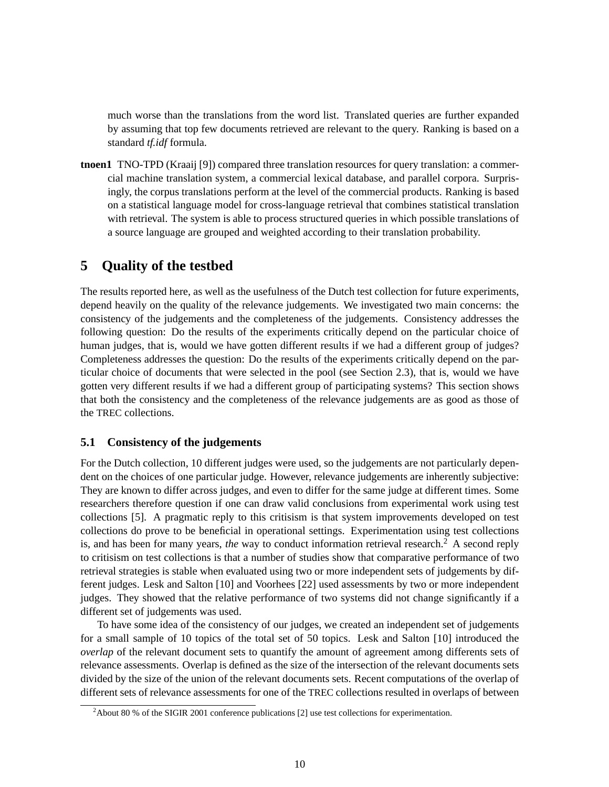much worse than the translations from the word list. Translated queries are further expanded by assuming that top few documents retrieved are relevant to the query. Ranking is based on a standard *tf.idf* formula.

**tnoen1** TNO-TPD (Kraaij [9]) compared three translation resources for query translation: a commercial machine translation system, a commercial lexical database, and parallel corpora. Surprisingly, the corpus translations perform at the level of the commercial products. Ranking is based on a statistical language model for cross-language retrieval that combines statistical translation with retrieval. The system is able to process structured queries in which possible translations of a source language are grouped and weighted according to their translation probability.

# **5 Quality of the testbed**

The results reported here, as well as the usefulness of the Dutch test collection for future experiments, depend heavily on the quality of the relevance judgements. We investigated two main concerns: the consistency of the judgements and the completeness of the judgements. Consistency addresses the following question: Do the results of the experiments critically depend on the particular choice of human judges, that is, would we have gotten different results if we had a different group of judges? Completeness addresses the question: Do the results of the experiments critically depend on the particular choice of documents that were selected in the pool (see Section 2.3), that is, would we have gotten very different results if we had a different group of participating systems? This section shows that both the consistency and the completeness of the relevance judgements are as good as those of the TREC collections.

## **5.1 Consistency of the judgements**

For the Dutch collection, 10 different judges were used, so the judgements are not particularly dependent on the choices of one particular judge. However, relevance judgements are inherently subjective: They are known to differ across judges, and even to differ for the same judge at different times. Some researchers therefore question if one can draw valid conclusions from experimental work using test collections [5]. A pragmatic reply to this critisism is that system improvements developed on test collections do prove to be beneficial in operational settings. Experimentation using test collections is, and has been for many years, *the* way to conduct information retrieval research.<sup>2</sup> A second reply to critisism on test collections is that a number of studies show that comparative performance of two retrieval strategies is stable when evaluated using two or more independent sets of judgements by different judges. Lesk and Salton [10] and Voorhees [22] used assessments by two or more independent judges. They showed that the relative performance of two systems did not change significantly if a different set of judgements was used.

To have some idea of the consistency of our judges, we created an independent set of judgements for a small sample of 10 topics of the total set of 50 topics. Lesk and Salton [10] introduced the *overlap* of the relevant document sets to quantify the amount of agreement among differents sets of relevance assessments. Overlap is defined as the size of the intersection of the relevant documents sets divided by the size of the union of the relevant documents sets. Recent computations of the overlap of different sets of relevance assessments for one of the TREC collections resulted in overlaps of between

<sup>2</sup>About 80 % of the SIGIR 2001 conference publications [2] use test collections for experimentation.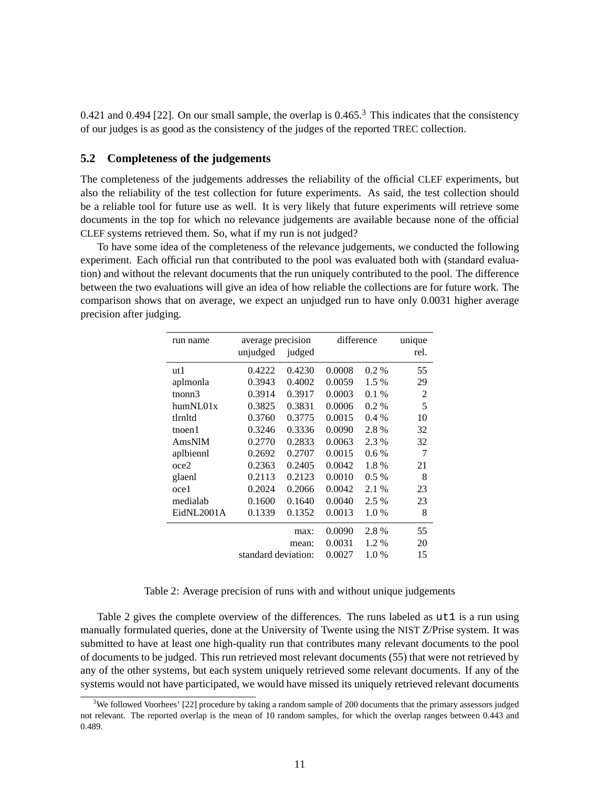0.421 and 0.494 [22]. On our small sample, the overlap is  $0.465<sup>3</sup>$ . This indicates that the consistency of our judges is as good as the consistency of the judges of the reported TREC collection.

#### **5.2 Completeness of the judgements**

The completeness of the judgements addresses the reliability of the official CLEF experiments, but also the reliability of the test collection for future experiments. As said, the test collection should be a reliable tool for future use as well. It is very likely that future experiments will retrieve some documents in the top for which no relevance judgements are available because none of the official CLEF systems retrieved them. So, what if my run is not judged?

To have some idea of the completeness of the relevance judgements, we conducted the following experiment. Each official run that contributed to the pool was evaluated both with (standard evaluation) and without the relevant documents that the run uniquely contributed to the pool. The difference between the two evaluations will give an idea of how reliable the collections are for future work. The comparison shows that on average, we expect an unjudged run to have only 0.0031 higher average precision after judging.

| run name            | average precision<br>unjudged<br>judged |        | difference |         | unique<br>rel. |
|---------------------|-----------------------------------------|--------|------------|---------|----------------|
|                     |                                         |        |            |         |                |
| ut 1                | 0.4222                                  | 0.4230 | 0.0008     | $0.2\%$ | 55             |
| aplmonla            | 0.3943                                  | 0.4002 | 0.0059     | 1.5 %   | 29             |
| $t$ nonn $3$        | 0.3914                                  | 0.3917 | 0.0003     | 0.1%    | $\overline{c}$ |
| humNLO1x            | 0.3825                                  | 0.3831 | 0.0006     | $0.2\%$ | 5              |
| tlrnltd             | 0.3760                                  | 0.3775 | 0.0015     | $0.4\%$ | 10             |
| tnoen1              | 0.3246                                  | 0.3336 | 0.0090     | 2.8%    | 32             |
| AmsNIM              | 0.2770                                  | 0.2833 | 0.0063     | 2.3 %   | 32             |
| aplbiennl           | 0.2692                                  | 0.2707 | 0.0015     | $0.6\%$ | 7              |
| $\alpha$ e $\alpha$ | 0.2363                                  | 0.2405 | 0.0042     | 1.8%    | 21             |
| glaenl              | 0.2113                                  | 0.2123 | 0.0010     | $0.5\%$ | 8              |
| oce1                | 0.2024                                  | 0.2066 | 0.0042     | 2.1 %   | 23             |
| medialab            | 0.1600                                  | 0.1640 | 0.0040     | 2.5 %   | 23             |
| EidNL2001A          | 0.1339                                  | 0.1352 | 0.0013     | 1.0%    | 8              |
|                     |                                         | max:   | 0.0090     | 2.8%    | 55             |
|                     |                                         | mean:  | 0.0031     | 1.2 %   | 20             |
|                     | standard deviation:                     |        | 0.0027     | 1.0%    | 15             |

#### Table 2: Average precision of runs with and without unique judgements

Table 2 gives the complete overview of the differences. The runs labeled as  $u \tau$  is a run using manually formulated queries, done at the University of Twente using the NIST Z/Prise system. It was submitted to have at least one high-quality run that contributes many relevant documents to the pool of documents to be judged. This run retrieved most relevant documents (55) that were not retrieved by any of the other systems, but each system uniquely retrieved some relevant documents. If any of the systems would not have participated, we would have missed its uniquely retrieved relevant documents

 $3$ We followed Voorhees' [22] procedure by taking a random sample of 200 documents that the primary assessors judged not relevant. The reported overlap is the mean of 10 random samples, for which the overlap ranges between 0.443 and 0.489.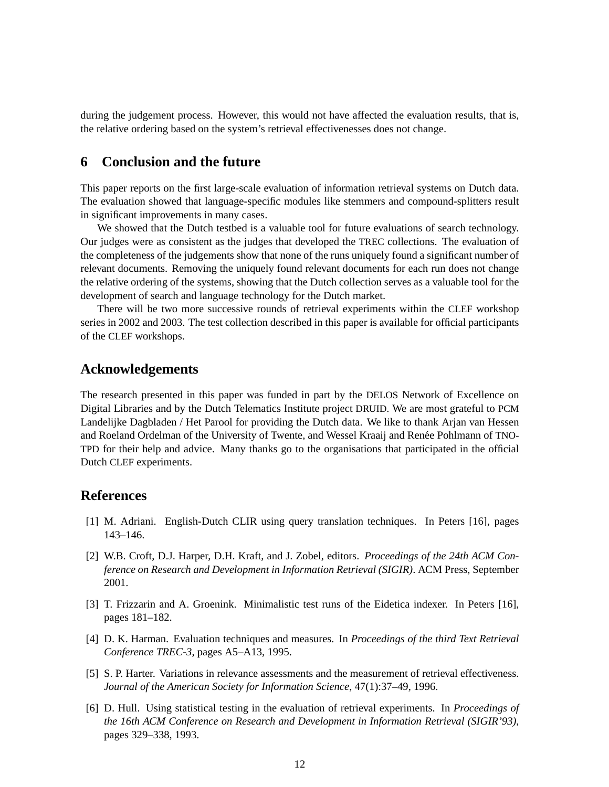during the judgement process. However, this would not have affected the evaluation results, that is, the relative ordering based on the system's retrieval effectivenesses does not change.

# **6 Conclusion and the future**

This paper reports on the first large-scale evaluation of information retrieval systems on Dutch data. The evaluation showed that language-specific modules like stemmers and compound-splitters result in significant improvements in many cases.

We showed that the Dutch testbed is a valuable tool for future evaluations of search technology. Our judges were as consistent as the judges that developed the TREC collections. The evaluation of the completeness of the judgements show that none of the runs uniquely found a significant number of relevant documents. Removing the uniquely found relevant documents for each run does not change the relative ordering of the systems, showing that the Dutch collection serves as a valuable tool for the development of search and language technology for the Dutch market.

There will be two more successive rounds of retrieval experiments within the CLEF workshop series in 2002 and 2003. The test collection described in this paper is available for official participants of the CLEF workshops.

## **Acknowledgements**

The research presented in this paper was funded in part by the DELOS Network of Excellence on Digital Libraries and by the Dutch Telematics Institute project DRUID. We are most grateful to PCM Landelijke Dagbladen / Het Parool for providing the Dutch data. We like to thank Arjan van Hessen and Roeland Ordelman of the University of Twente, and Wessel Kraaij and Renée Pohlmann of TNO-TPD for their help and advice. Many thanks go to the organisations that participated in the official Dutch CLEF experiments.

## **References**

- [1] M. Adriani. English-Dutch CLIR using query translation techniques. In Peters [16], pages 143–146.
- [2] W.B. Croft, D.J. Harper, D.H. Kraft, and J. Zobel, editors. *Proceedings of the 24th ACM Conference on Research and Development in Information Retrieval (SIGIR)*. ACM Press, September 2001.
- [3] T. Frizzarin and A. Groenink. Minimalistic test runs of the Eidetica indexer. In Peters [16], pages 181–182.
- [4] D. K. Harman. Evaluation techniques and measures. In *Proceedings of the third Text Retrieval Conference TREC-3*, pages A5–A13, 1995.
- [5] S. P. Harter. Variations in relevance assessments and the measurement of retrieval effectiveness. *Journal of the American Society for Information Science*, 47(1):37–49, 1996.
- [6] D. Hull. Using statistical testing in the evaluation of retrieval experiments. In *Proceedings of the 16th ACM Conference on Research and Development in Information Retrieval (SIGIR'93)*, pages 329–338, 1993.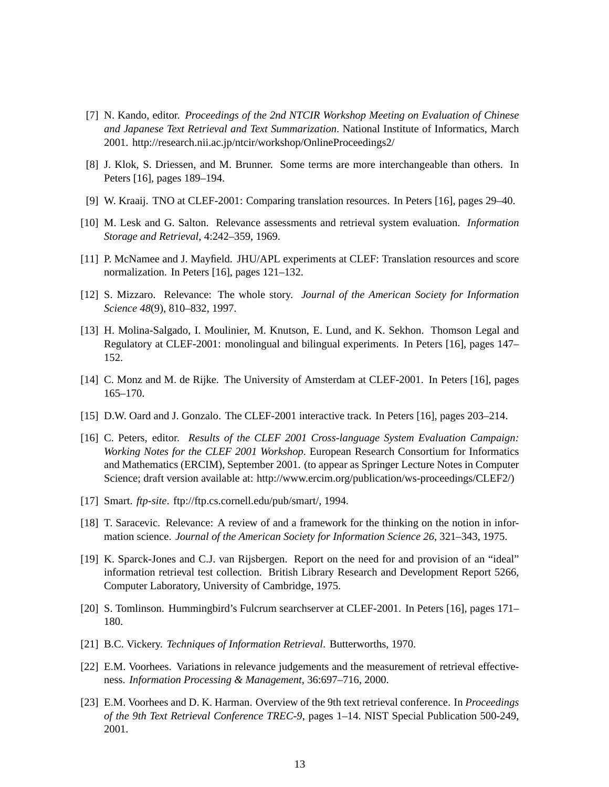- [7] N. Kando, editor. *Proceedings of the 2nd NTCIR Workshop Meeting on Evaluation of Chinese and Japanese Text Retrieval and Text Summarization*. National Institute of Informatics, March 2001. http://research.nii.ac.jp/ntcir/workshop/OnlineProceedings2/
- [8] J. Klok, S. Driessen, and M. Brunner. Some terms are more interchangeable than others. In Peters [16], pages 189–194.
- [9] W. Kraaij. TNO at CLEF-2001: Comparing translation resources. In Peters [16], pages 29–40.
- [10] M. Lesk and G. Salton. Relevance assessments and retrieval system evaluation. *Information Storage and Retrieval*, 4:242–359, 1969.
- [11] P. McNamee and J. Mayfield. JHU/APL experiments at CLEF: Translation resources and score normalization. In Peters [16], pages 121–132.
- [12] S. Mizzaro. Relevance: The whole story. *Journal of the American Society for Information Science 48*(9), 810–832, 1997.
- [13] H. Molina-Salgado, I. Moulinier, M. Knutson, E. Lund, and K. Sekhon. Thomson Legal and Regulatory at CLEF-2001: monolingual and bilingual experiments. In Peters [16], pages 147– 152.
- [14] C. Monz and M. de Rijke. The University of Amsterdam at CLEF-2001. In Peters [16], pages 165–170.
- [15] D.W. Oard and J. Gonzalo. The CLEF-2001 interactive track. In Peters [16], pages 203–214.
- [16] C. Peters, editor. *Results of the CLEF 2001 Cross-language System Evaluation Campaign: Working Notes for the CLEF 2001 Workshop*. European Research Consortium for Informatics and Mathematics (ERCIM), September 2001. (to appear as Springer Lecture Notes in Computer Science; draft version available at: http://www.ercim.org/publication/ws-proceedings/CLEF2/)
- [17] Smart. *ftp-site*. ftp://ftp.cs.cornell.edu/pub/smart/, 1994.
- [18] T. Saracevic. Relevance: A review of and a framework for the thinking on the notion in information science. *Journal of the American Society for Information Science 26*, 321–343, 1975.
- [19] K. Sparck-Jones and C.J. van Rijsbergen. Report on the need for and provision of an "ideal" information retrieval test collection. British Library Research and Development Report 5266, Computer Laboratory, University of Cambridge, 1975.
- [20] S. Tomlinson. Hummingbird's Fulcrum searchserver at CLEF-2001. In Peters [16], pages 171– 180.
- [21] B.C. Vickery. *Techniques of Information Retrieval*. Butterworths, 1970.
- [22] E.M. Voorhees. Variations in relevance judgements and the measurement of retrieval effectiveness. *Information Processing & Management*, 36:697–716, 2000.
- [23] E.M. Voorhees and D. K. Harman. Overview of the 9th text retrieval conference. In *Proceedings of the 9th Text Retrieval Conference TREC-9*, pages 1–14. NIST Special Publication 500-249, 2001.